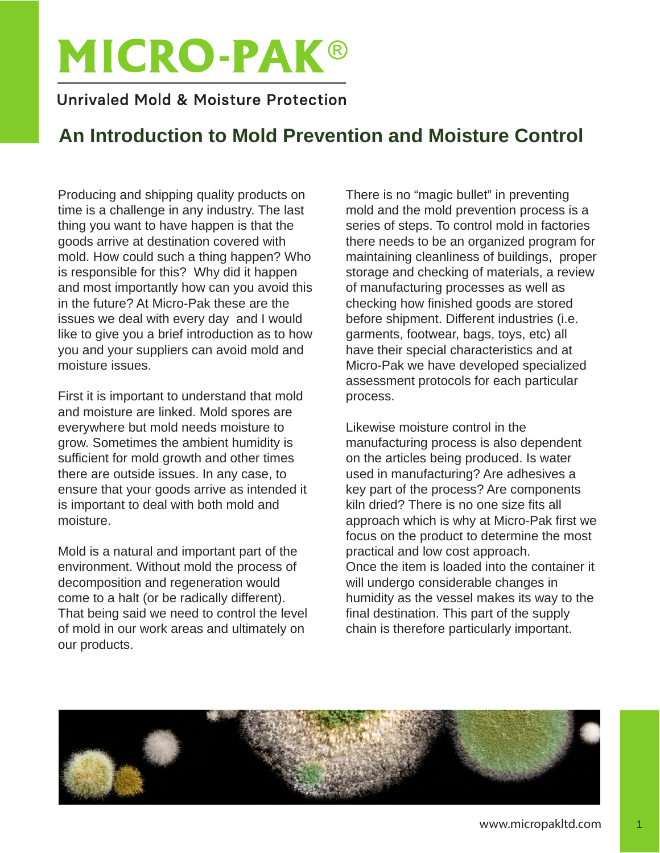# **MICRO-PAK®**

### Unrivaled Mold & Moisture Protection

## **An Introduction to Mold Prevention and Moisture Control**

Producing and shipping quality products on time is a challenge in any industry. The last thing you want to have happen is that the goods arrive at destination covered with mold. How could such a thing happen? Who is responsible for this? Why did it happen and most importantly how can you avoid this in the future? At Micro-Pak these are the issues we deal with every day and I would like to give you a brief introduction as to how you and your suppliers can avoid mold and moisture issues.

First it is important to understand that mold and moisture are linked. Mold spores are everywhere but mold needs moisture to grow. Sometimes the ambient humidity is sufficient for mold growth and other times there are outside issues. In any case, to ensure that your goods arrive as intended it is important to deal with both mold and moisture.

Mold is a natural and important part of the environment. Without mold the process of decomposition and regeneration would come to a halt (or be radically different). That being said we need to control the level of mold in our work areas and ultimately on our products.

There is no "magic bullet" in preventing mold and the mold prevention process is a series of steps. To control mold in factories there needs to be an organized program for maintaining cleanliness of buildings, proper storage and checking of materials, a review of manufacturing processes as well as checking how finished goods are stored before shipment. Different industries (i.e. garments, footwear, bags, toys, etc) all have their special characteristics and at Micro-Pak we have developed specialized assessment protocols for each particular process.

Likewise moisture control in the manufacturing process is also dependent on the articles being produced. Is water used in manufacturing? Are adhesives a key part of the process? Are components kiln dried? There is no one size fits all approach which is why at Micro-Pak first we focus on the product to determine the most practical and low cost approach. Once the item is loaded into the container it will undergo considerable changes in humidity as the vessel makes its way to the final destination. This part of the supply chain is therefore particularly important.



1